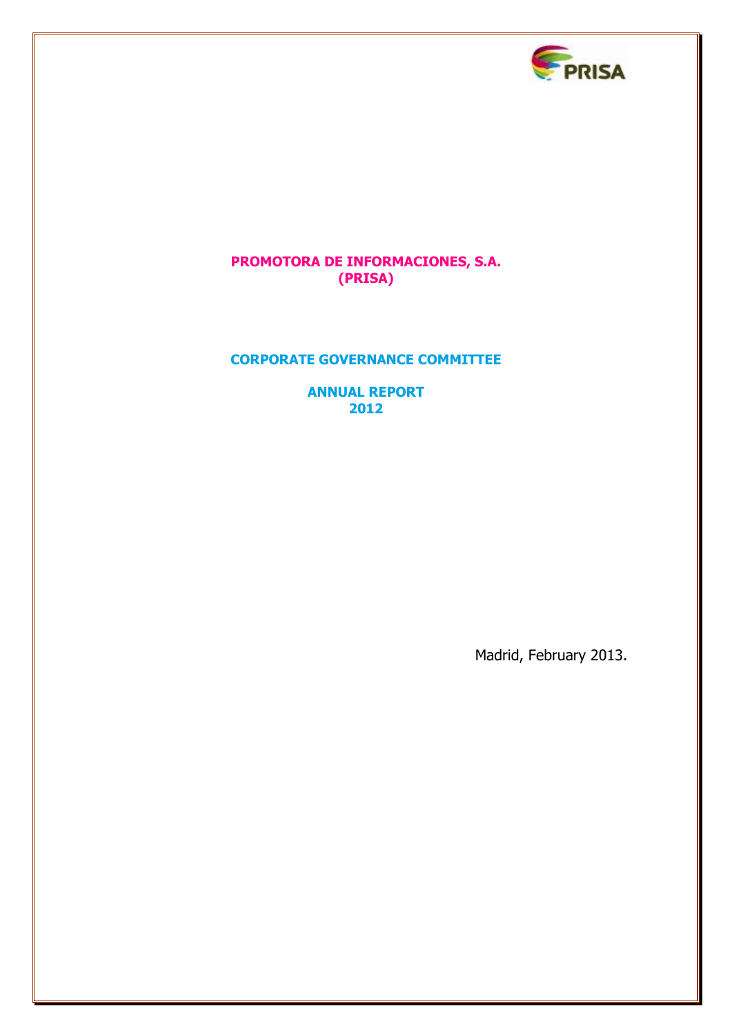

# **PROMOTORA DE INFORMACIONES, S.A. (PRISA)**

# **CORPORATE GOVERNANCE COMMITTEE**

**ANNUAL REPORT 2012**

Madrid, February 2013.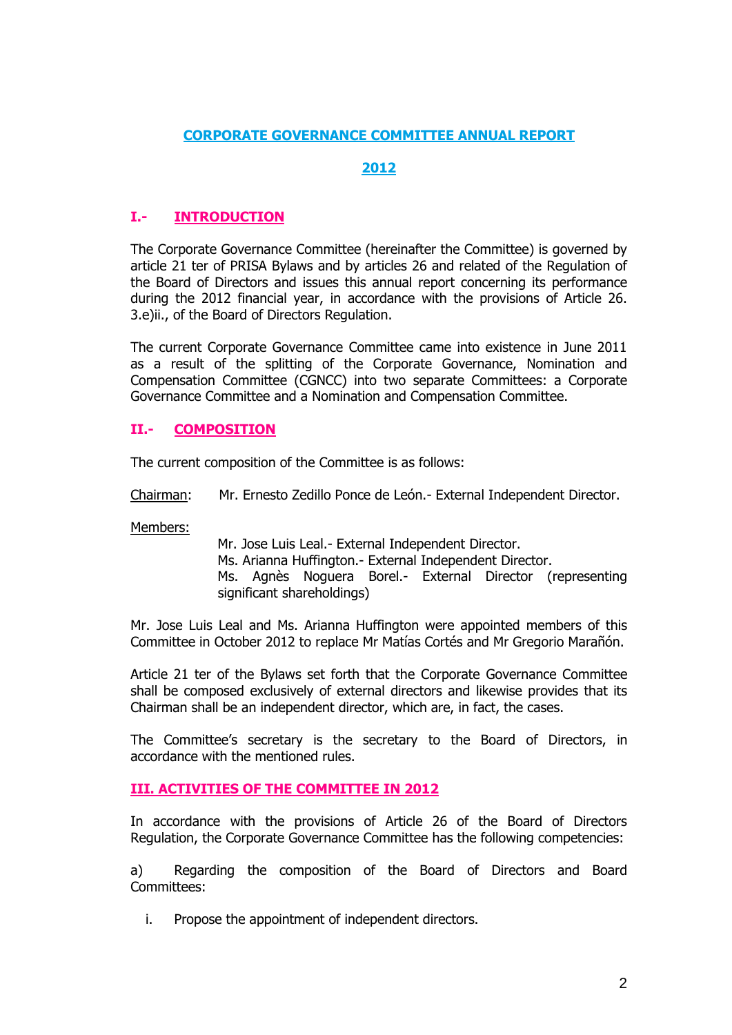# **CORPORATE GOVERNANCE COMMITTEE ANNUAL REPORT**

# **2012**

# **I.- INTRODUCTION**

The Corporate Governance Committee (hereinafter the Committee) is governed by article 21 ter of PRISA Bylaws and by articles 26 and related of the Regulation of the Board of Directors and issues this annual report concerning its performance during the 2012 financial year, in accordance with the provisions of Article 26. 3.e)ii., of the Board of Directors Regulation.

The current Corporate Governance Committee came into existence in June 2011 as a result of the splitting of the Corporate Governance, Nomination and Compensation Committee (CGNCC) into two separate Committees: a Corporate Governance Committee and a Nomination and Compensation Committee.

# **II.- COMPOSITION**

The current composition of the Committee is as follows:

Chairman: Mr. Ernesto Zedillo Ponce de León.- External Independent Director.

Members:

Mr. Jose Luis Leal.- External Independent Director. Ms. Arianna Huffington.- External Independent Director. Ms. Agnès Noguera Borel.- External Director (representing significant shareholdings)

Mr. Jose Luis Leal and Ms. Arianna Huffington were appointed members of this Committee in October 2012 to replace Mr Matías Cortés and Mr Gregorio Marañón.

Article 21 ter of the Bylaws set forth that the Corporate Governance Committee shall be composed exclusively of external directors and likewise provides that its Chairman shall be an independent director, which are, in fact, the cases.

The Committee's secretary is the secretary to the Board of Directors, in accordance with the mentioned rules.

## **III. ACTIVITIES OF THE COMMITTEE IN 2012**

In accordance with the provisions of Article 26 of the Board of Directors Regulation, the Corporate Governance Committee has the following competencies:

a) Regarding the composition of the Board of Directors and Board Committees:

i. Propose the appointment of independent directors.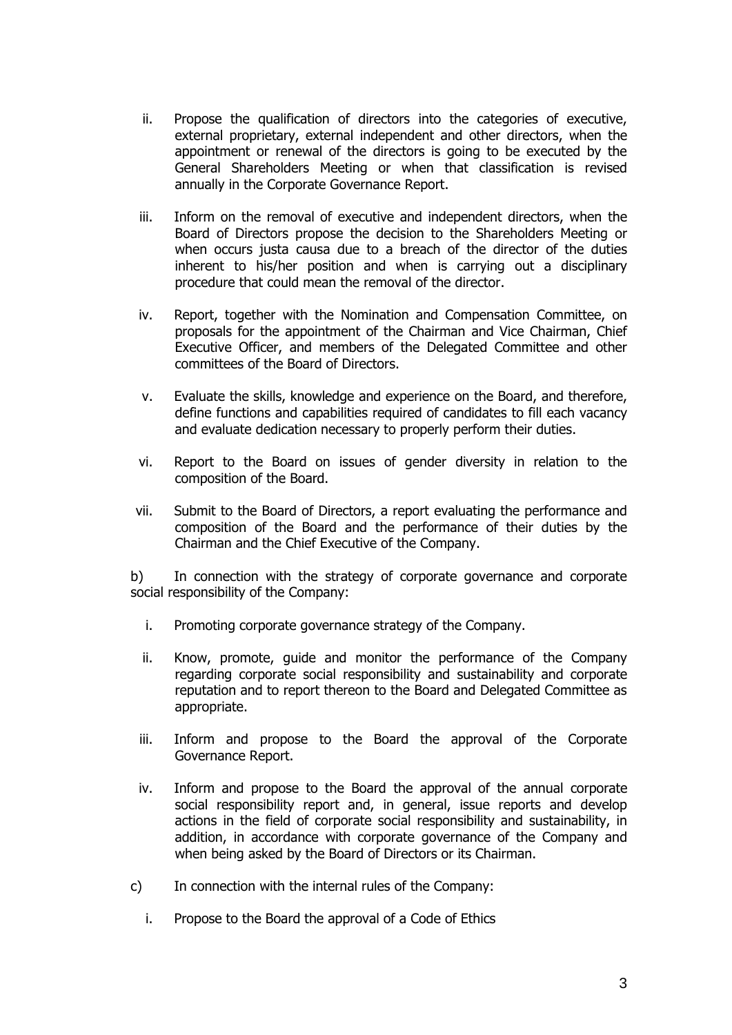- ii. Propose the qualification of directors into the categories of executive, external proprietary, external independent and other directors, when the appointment or renewal of the directors is going to be executed by the General Shareholders Meeting or when that classification is revised annually in the Corporate Governance Report.
- iii. Inform on the removal of executive and independent directors, when the Board of Directors propose the decision to the Shareholders Meeting or when occurs justa causa due to a breach of the director of the duties inherent to his/her position and when is carrying out a disciplinary procedure that could mean the removal of the director.
- iv. Report, together with the Nomination and Compensation Committee, on proposals for the appointment of the Chairman and Vice Chairman, Chief Executive Officer, and members of the Delegated Committee and other committees of the Board of Directors.
- v. Evaluate the skills, knowledge and experience on the Board, and therefore, define functions and capabilities required of candidates to fill each vacancy and evaluate dedication necessary to properly perform their duties.
- vi. Report to the Board on issues of gender diversity in relation to the composition of the Board.
- vii. Submit to the Board of Directors, a report evaluating the performance and composition of the Board and the performance of their duties by the Chairman and the Chief Executive of the Company.

b) In connection with the strategy of corporate governance and corporate social responsibility of the Company:

- i. Promoting corporate governance strategy of the Company.
- ii. Know, promote, guide and monitor the performance of the Company regarding corporate social responsibility and sustainability and corporate reputation and to report thereon to the Board and Delegated Committee as appropriate.
- iii. Inform and propose to the Board the approval of the Corporate Governance Report.
- iv. Inform and propose to the Board the approval of the annual corporate social responsibility report and, in general, issue reports and develop actions in the field of corporate social responsibility and sustainability, in addition, in accordance with corporate governance of the Company and when being asked by the Board of Directors or its Chairman.
- c) In connection with the internal rules of the Company:
	- i. Propose to the Board the approval of a Code of Ethics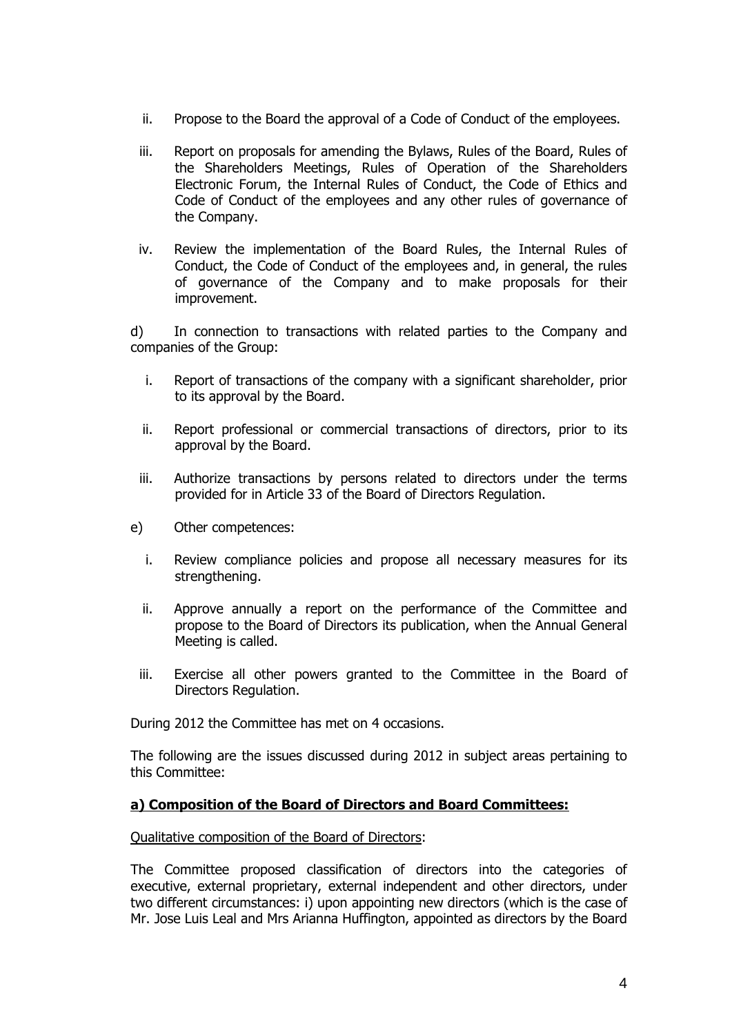- ii. Propose to the Board the approval of a Code of Conduct of the employees.
- iii. Report on proposals for amending the Bylaws, Rules of the Board, Rules of the Shareholders Meetings, Rules of Operation of the Shareholders Electronic Forum, the Internal Rules of Conduct, the Code of Ethics and Code of Conduct of the employees and any other rules of governance of the Company.
- iv. Review the implementation of the Board Rules, the Internal Rules of Conduct, the Code of Conduct of the employees and, in general, the rules of governance of the Company and to make proposals for their improvement.

d) In connection to transactions with related parties to the Company and companies of the Group:

- i. Report of transactions of the company with a significant shareholder, prior to its approval by the Board.
- ii. Report professional or commercial transactions of directors, prior to its approval by the Board.
- iii. Authorize transactions by persons related to directors under the terms provided for in Article 33 of the Board of Directors Regulation.
- e) Other competences:
	- i. Review compliance policies and propose all necessary measures for its strengthening.
	- ii. Approve annually a report on the performance of the Committee and propose to the Board of Directors its publication, when the Annual General Meeting is called.
	- iii. Exercise all other powers granted to the Committee in the Board of Directors Regulation.

During 2012 the Committee has met on 4 occasions.

The following are the issues discussed during 2012 in subject areas pertaining to this Committee:

## **a) Composition of the Board of Directors and Board Committees:**

Qualitative composition of the Board of Directors:

The Committee proposed classification of directors into the categories of executive, external proprietary, external independent and other directors, under two different circumstances: i) upon appointing new directors (which is the case of Mr. Jose Luis Leal and Mrs Arianna Huffington, appointed as directors by the Board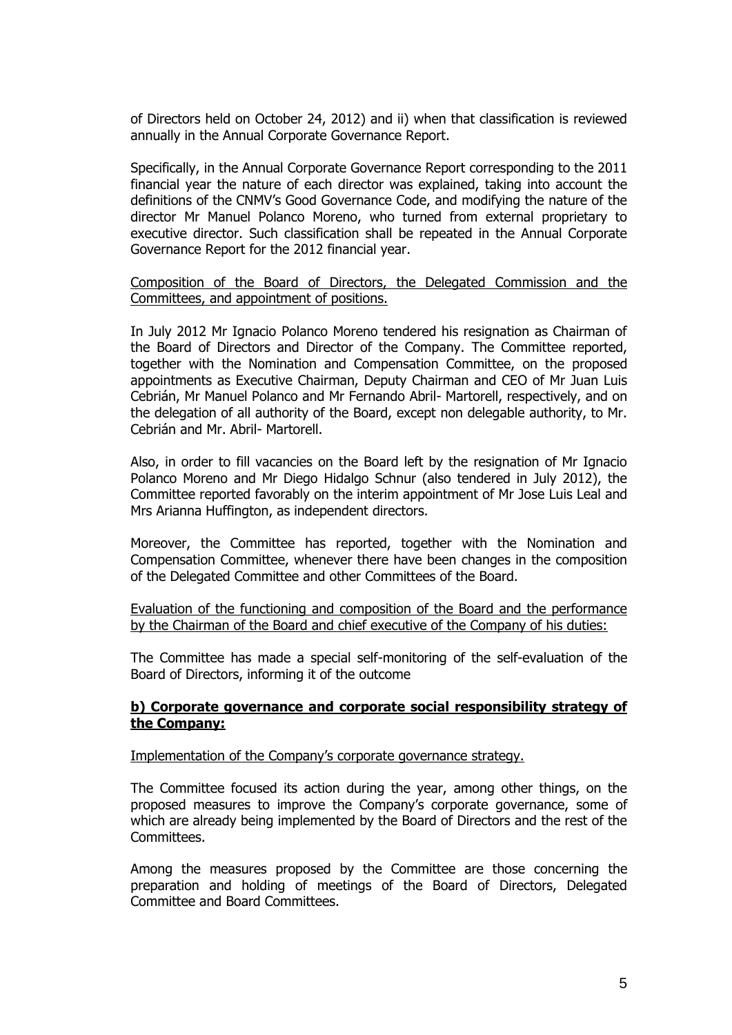of Directors held on October 24, 2012) and ii) when that classification is reviewed annually in the Annual Corporate Governance Report.

Specifically, in the Annual Corporate Governance Report corresponding to the 2011 financial year the nature of each director was explained, taking into account the definitions of the CNMV's Good Governance Code, and modifying the nature of the director Mr Manuel Polanco Moreno, who turned from external proprietary to executive director. Such classification shall be repeated in the Annual Corporate Governance Report for the 2012 financial year.

Composition of the Board of Directors, the Delegated Commission and the Committees, and appointment of positions.

In July 2012 Mr Ignacio Polanco Moreno tendered his resignation as Chairman of the Board of Directors and Director of the Company. The Committee reported, together with the Nomination and Compensation Committee, on the proposed appointments as Executive Chairman, Deputy Chairman and CEO of Mr Juan Luis Cebrián, Mr Manuel Polanco and Mr Fernando Abril- Martorell, respectively, and on the delegation of all authority of the Board, except non delegable authority, to Mr. Cebrián and Mr. Abril- Martorell.

Also, in order to fill vacancies on the Board left by the resignation of Mr Ignacio Polanco Moreno and Mr Diego Hidalgo Schnur (also tendered in July 2012), the Committee reported favorably on the interim appointment of Mr Jose Luis Leal and Mrs Arianna Huffington, as independent directors.

Moreover, the Committee has reported, together with the Nomination and Compensation Committee, whenever there have been changes in the composition of the Delegated Committee and other Committees of the Board.

Evaluation of the functioning and composition of the Board and the performance by the Chairman of the Board and chief executive of the Company of his duties:

The Committee has made a special self-monitoring of the self-evaluation of the Board of Directors, informing it of the outcome

## **b) Corporate governance and corporate social responsibility strategy of the Company:**

#### Implementation of the Company's corporate governance strategy.

The Committee focused its action during the year, among other things, on the proposed measures to improve the Company's corporate governance, some of which are already being implemented by the Board of Directors and the rest of the Committees.

Among the measures proposed by the Committee are those concerning the preparation and holding of meetings of the Board of Directors, Delegated Committee and Board Committees.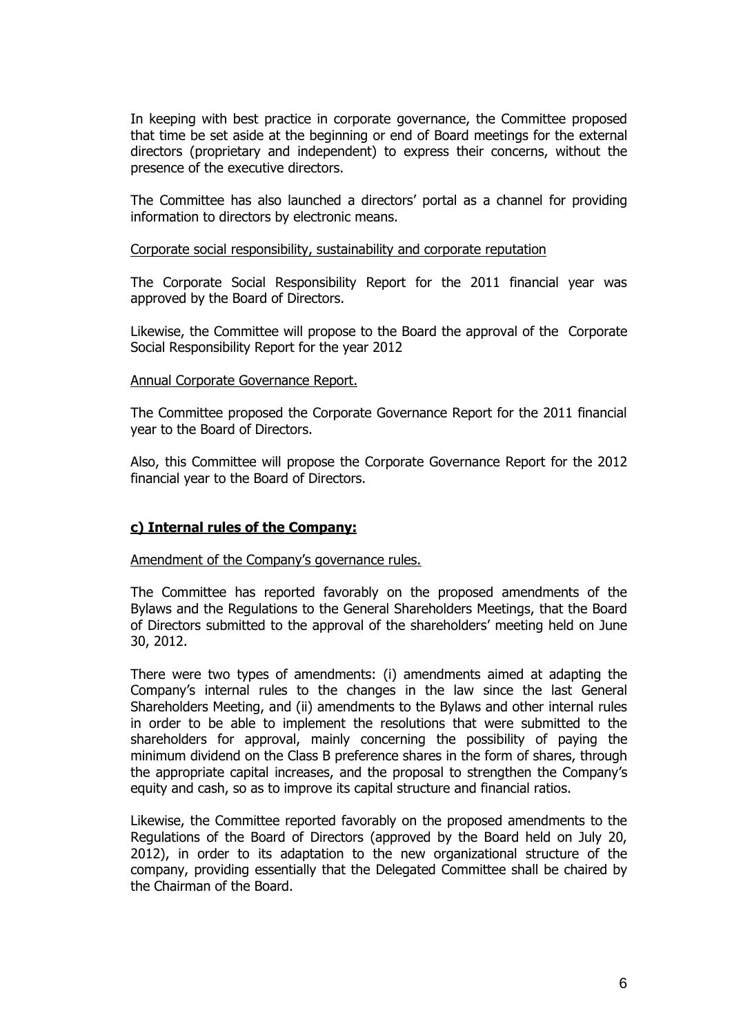In keeping with best practice in corporate governance, the Committee proposed that time be set aside at the beginning or end of Board meetings for the external directors (proprietary and independent) to express their concerns, without the presence of the executive directors.

The Committee has also launched a directors' portal as a channel for providing information to directors by electronic means.

### Corporate social responsibility, sustainability and corporate reputation

The Corporate Social Responsibility Report for the 2011 financial year was approved by the Board of Directors.

Likewise, the Committee will propose to the Board the approval of the Corporate Social Responsibility Report for the year 2012

#### Annual Corporate Governance Report.

The Committee proposed the Corporate Governance Report for the 2011 financial year to the Board of Directors.

Also, this Committee will propose the Corporate Governance Report for the 2012 financial year to the Board of Directors.

## **c) Internal rules of the Company:**

Amendment of the Company's governance rules.

The Committee has reported favorably on the proposed amendments of the Bylaws and the Regulations to the General Shareholders Meetings, that the Board of Directors submitted to the approval of the shareholders' meeting held on June 30, 2012.

There were two types of amendments: (i) amendments aimed at adapting the Company's internal rules to the changes in the law since the last General Shareholders Meeting, and (ii) amendments to the Bylaws and other internal rules in order to be able to implement the resolutions that were submitted to the shareholders for approval, mainly concerning the possibility of paying the minimum dividend on the Class B preference shares in the form of shares, through the appropriate capital increases, and the proposal to strengthen the Company's equity and cash, so as to improve its capital structure and financial ratios.

Likewise, the Committee reported favorably on the proposed amendments to the Regulations of the Board of Directors (approved by the Board held on July 20, 2012), in order to its adaptation to the new organizational structure of the company, providing essentially that the Delegated Committee shall be chaired by the Chairman of the Board.